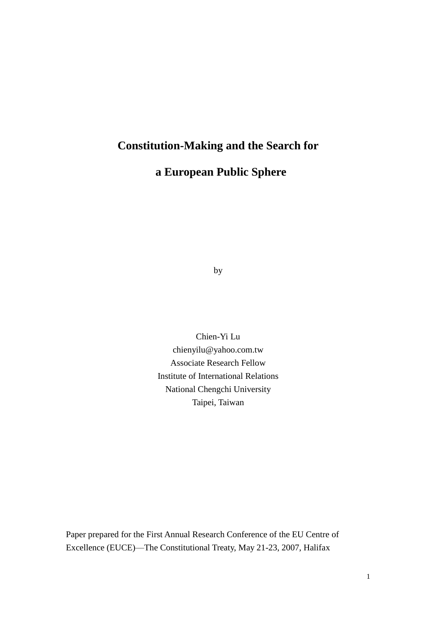# **Constitution-Making and the Search for**

# **a European Public Sphere**

by

Chien-Yi Lu chienyilu@yahoo.com.tw Associate Research Fellow Institute of International Relations National Chengchi University Taipei, Taiwan

Paper prepared for the First Annual Research Conference of the EU Centre of Excellence (EUCE)—The Constitutional Treaty, May 21-23, 2007, Halifax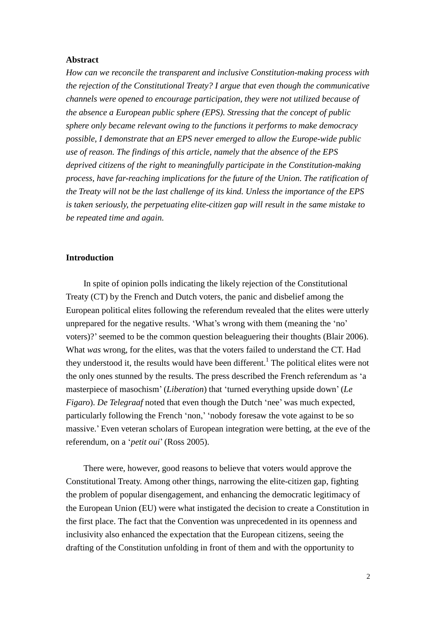### **Abstract**

*How can we reconcile the transparent and inclusive Constitution-making process with the rejection of the Constitutional Treaty? I argue that even though the communicative channels were opened to encourage participation, they were not utilized because of the absence a European public sphere (EPS). Stressing that the concept of public sphere only became relevant owing to the functions it performs to make democracy possible, I demonstrate that an EPS never emerged to allow the Europe-wide public use of reason. The findings of this article, namely that the absence of the EPS deprived citizens of the right to meaningfully participate in the Constitution-making process, have far-reaching implications for the future of the Union. The ratification of the Treaty will not be the last challenge of its kind. Unless the importance of the EPS is taken seriously, the perpetuating elite-citizen gap will result in the same mistake to be repeated time and again.*

#### **Introduction**

In spite of opinion polls indicating the likely rejection of the Constitutional Treaty (CT) by the French and Dutch voters, the panic and disbelief among the European political elites following the referendum revealed that the elites were utterly unprepared for the negative results. 'What's wrong with them (meaning the 'no' voters)?'seemed to be the common question beleaguering their thoughts (Blair 2006). What *was* wrong, for the elites, was that the voters failed to understand the CT. Had they understood it, the results would have been different.<sup>1</sup> The political elites were not the only ones stunned by the results. The press described the French referendumas'a masterpiece of masochism'(*Liberation*) that 'turned everything upside down'(*Le Figaro*). *De Telegraaf* noted that even though the Dutch 'nee'was much expected, particularly following the French 'non,''nobody foresaw the vote against to be so massive.'Even veteran scholars of European integration were betting, at the eve of the referendum, on a '*petit oui*'(Ross 2005).

There were, however, good reasons to believe that voters would approve the Constitutional Treaty. Among other things, narrowing the elite-citizen gap, fighting the problem of popular disengagement, and enhancing the democratic legitimacy of the European Union (EU) were what instigated the decision to create a Constitution in the first place. The fact that the Convention was unprecedented in its openness and inclusivity also enhanced the expectation that the European citizens, seeing the drafting of the Constitution unfolding in front of them and with the opportunity to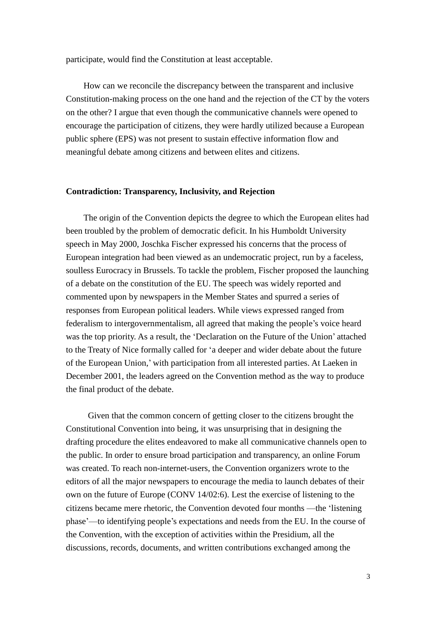participate, would find the Constitution at least acceptable.

How can we reconcile the discrepancy between the transparent and inclusive Constitution-making process on the one hand and the rejection of the CT by the voters on the other? I argue that even though the communicative channels were opened to encourage the participation of citizens, they were hardly utilized because a European public sphere (EPS) was not present to sustain effective information flow and meaningful debate among citizens and between elites and citizens.

#### **Contradiction: Transparency, Inclusivity, and Rejection**

The origin of the Convention depicts the degree to which the European elites had been troubled by the problem of democratic deficit. In his Humboldt University speech in May 2000, Joschka Fischer expressed his concerns that the process of European integration had been viewed as an undemocratic project, run by a faceless, soulless Eurocracy in Brussels. To tackle the problem, Fischer proposed the launching of a debate on the constitution of the EU. The speech was widely reported and commented upon by newspapers in the Member States and spurred a series of responses from European political leaders. While views expressed ranged from federalism to intergovernmentalism, all agreed that making the people's voice heard was the top priority. As a result, the 'Declaration on the Future of the Union'attached to the Treaty of Nice formally called for 'a deeper and wider debate about the future of the European Union,'with participation from all interested parties. At Laeken in December 2001, the leaders agreed on the Convention method as the way to produce the final product of the debate.

Given that the common concern of getting closer to the citizens brought the Constitutional Convention into being, it was unsurprising that in designing the drafting procedure the elites endeavored to make all communicative channels open to the public. In order to ensure broad participation and transparency, an online Forum was created. To reach non-internet-users, the Convention organizers wrote to the editors of all the major newspapers to encourage the media to launch debates of their own on the future of Europe (CONV 14/02:6). Lest the exercise of listening to the citizens became mere rhetoric, the Convention devoted four months —the 'listening phase'—to identifying people's expectations and needs from the EU. In the course of the Convention, with the exception of activities within the Presidium, all the discussions, records, documents, and written contributions exchanged among the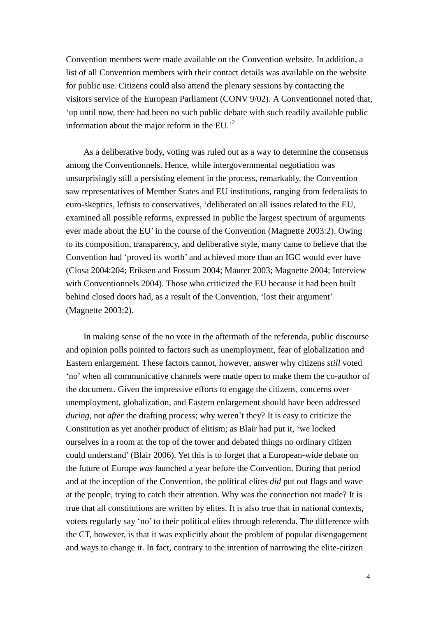Convention members were made available on the Convention website. In addition, a list of all Convention members with their contact details was available on the website for public use. Citizens could also attend the plenary sessions by contacting the visitors service of the European Parliament (CONV 9/02). A Conventionnel noted that, 'up until now, there had been no such public debate with such readily available public information about the major reform in the EU.'<sup>2</sup>

As a deliberative body, voting was ruled out as a way to determine the consensus among the Conventionnels. Hence, while intergovernmental negotiation was unsurprisingly still a persisting element in the process, remarkably, the Convention saw representatives of Member States and EU institutions, ranging from federalists to euro-skeptics, leftists to conservatives, 'deliberated on all issues related to the EU, examined all possible reforms, expressed in public the largest spectrum of arguments ever made about the EU' in the course of the Convention (Magnette 2003:2). Owing to its composition, transparency, and deliberative style, many came to believe that the Convention had 'proved its worth'and achieved more than an IGC would ever have (Closa 2004:204; Eriksen and Fossum 2004; Maurer 2003; Magnette 2004; Interview with Conventionnels 2004). Those who criticized the EU because it had been built behind closed doors had, as a result of the Convention, 'lost their argument' (Magnette 2003:2).

In making sense of the no vote in the aftermath of the referenda, public discourse and opinion polls pointed to factors such as unemployment, fear of globalization and Eastern enlargement. These factors cannot, however, answer why citizens *still* voted 'no'when all communicative channels were made open to make them the co-author of the document. Given the impressive efforts to engage the citizens, concerns over unemployment, globalization, and Eastern enlargement should have been addressed *during*, not *after* the drafting process; why weren't they? It is easy to criticize the Constitution as yet another product of elitism; as Blair had put it, 'we locked ourselves in a room at the top of the tower and debated things no ordinary citizen could understand'(Blair 2006). Yet this is to forget that a European-wide debate on the future of Europe *was* launched a year before the Convention. During that period and at the inception of the Convention, the political elites *did* put out flags and wave at the people, trying to catch their attention. Why was the connection not made? It is true that all constitutions are written by elites. It is also true that in national contexts, voters regularly say 'no'to their political elites through referenda. The difference with the CT, however, is that it was explicitly about the problem of popular disengagement and ways to change it. In fact, contrary to the intention of narrowing the elite-citizen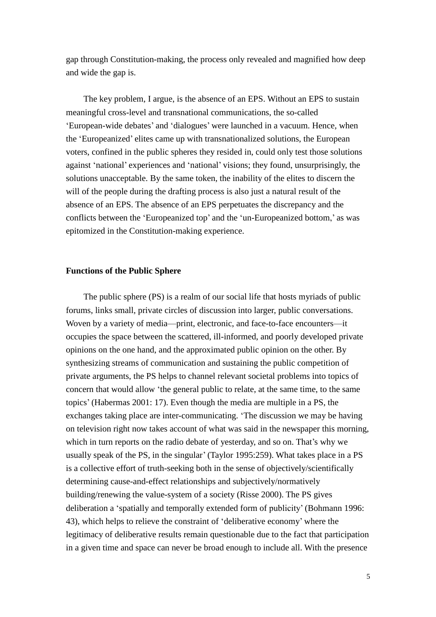gap through Constitution-making, the process only revealed and magnified how deep and wide the gap is.

The key problem, I argue, is the absence of an EPS. Without an EPS to sustain meaningful cross-level and transnational communications, the so-called 'European-wide debates'and 'dialogues'were launched in a vacuum. Hence, when the 'Europeanized'elites came up with transnationalized solutions, the European voters, confined in the public spheres they resided in, could only test those solutions against 'national'experiences and 'national'visions; they found, unsurprisingly, the solutions unacceptable. By the same token, the inability of the elites to discern the will of the people during the drafting process is also just a natural result of the absence of an EPS. The absence of an EPS perpetuates the discrepancy and the conflicts between the 'Europeanized top'and the 'un-Europeanized bottom,'as was epitomized in the Constitution-making experience.

#### **Functions of the Public Sphere**

The public sphere (PS) is a realm of our social life that hosts myriads of public forums, links small, private circles of discussion into larger, public conversations. Woven by a variety of media—print, electronic, and face-to-face encounters—it occupies the space between the scattered, ill-informed, and poorly developed private opinions on the one hand, and the approximated public opinion on the other. By synthesizing streams of communication and sustaining the public competition of private arguments, the PS helps to channel relevant societal problems into topics of concern that would allow 'the general public to relate, at the same time, to the same topics'(Habermas 2001: 17). Even though the media are multiple in a PS, the exchanges taking place are inter-communicating. 'The discussion we may be having on television right now takes account of what was said in the newspaper this morning, which in turn reports on the radio debate of yesterday, and so on. That's why we usually speak of the PS, in the singular'(Taylor 1995:259). What takes place in a PS is a collective effort of truth-seeking both in the sense of objectively/scientifically determining cause-and-effect relationships and subjectively/normatively building/renewing the value-system of a society (Risse 2000). The PS gives deliberation a 'spatially and temporally extended form of publicity'(Bohmann 1996: 43), which helps to relieve the constraint of 'deliberative economy'where the legitimacy of deliberative results remain questionable due to the fact that participation in a given time and space can never be broad enough to include all. With the presence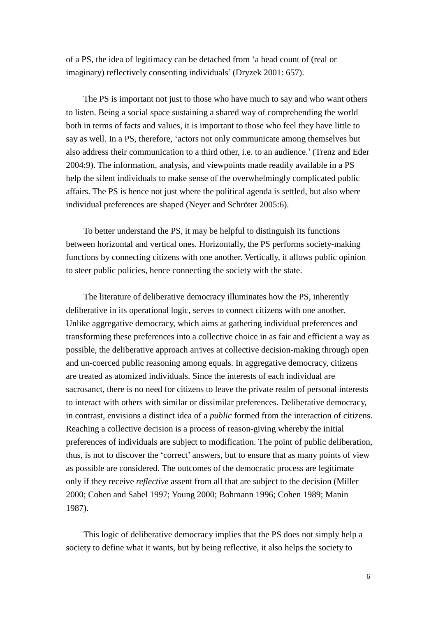of a PS, the idea of legitimacy can be detached from 'a head count of (real or imaginary) reflectively consenting individuals'(Dryzek 2001: 657).

The PS is important not just to those who have much to say and who want others to listen. Being a social space sustaining a shared way of comprehending the world both in terms of facts and values, it is important to those who feel they have little to say as well. In a PS, therefore, 'actors not only communicate among themselves but also address their communication to a third other, i.e. to an audience.'(Trenz and Eder 2004:9). The information, analysis, and viewpoints made readily available in a PS help the silent individuals to make sense of the overwhelmingly complicated public affairs. The PS is hence not just where the political agenda is settled, but also where individual preferences are shaped (Neyer and Schröter 2005:6).

To better understand the PS, it may be helpful to distinguish its functions between horizontal and vertical ones. Horizontally, the PS performs society-making functions by connecting citizens with one another. Vertically, it allows public opinion to steer public policies, hence connecting the society with the state.

The literature of deliberative democracy illuminates how the PS, inherently deliberative in its operational logic, serves to connect citizens with one another. Unlike aggregative democracy, which aims at gathering individual preferences and transforming these preferences into a collective choice in as fair and efficient a way as possible, the deliberative approach arrives at collective decision-making through open and un-coerced public reasoning among equals. In aggregative democracy, citizens are treated as atomized individuals. Since the interests of each individual are sacrosanct, there is no need for citizens to leave the private realm of personal interests to interact with others with similar or dissimilar preferences. Deliberative democracy, in contrast, envisions a distinct idea of a *public* formed from the interaction of citizens. Reaching a collective decision is a process of reason-giving whereby the initial preferences of individuals are subject to modification. The point of public deliberation, thus, is not to discover the 'correct'answers, but to ensure that as many points of view as possible are considered. The outcomes of the democratic process are legitimate only if they receive *reflective* assent from all that are subject to the decision (Miller 2000; Cohen and Sabel 1997; Young 2000; Bohmann 1996; Cohen 1989; Manin 1987).

This logic of deliberative democracy implies that the PS does not simply help a society to define what it wants, but by being reflective, it also helps the society to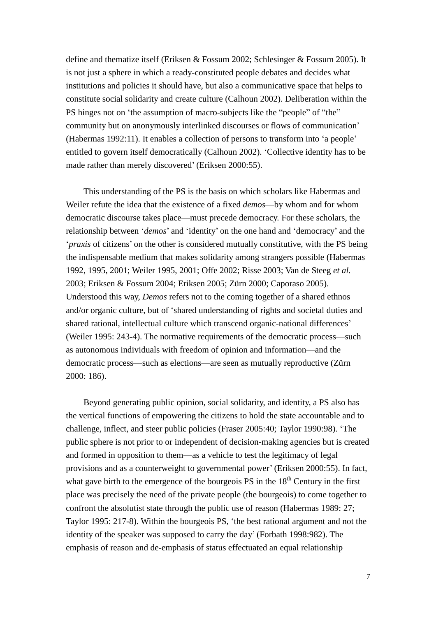define and thematize itself (Eriksen & Fossum 2002; Schlesinger & Fossum 2005). It is not just a sphere in which a ready-constituted people debates and decides what institutions and policies it should have, but also a communicative space that helps to constitute social solidarity and create culture (Calhoun 2002). Deliberation within the PS hinges not on 'the assumption of macro-subjects like the "people" of "the" community but on anonymously interlinked discourses or flows of communication' (Habermas 1992:11). It enables a collection of persons to transform into 'a people' entitled to govern itself democratically (Calhoun 2002). 'Collective identity has to be made rather than merely discovered'(Eriksen 2000:55).

This understanding of the PS is the basis on which scholars like Habermas and Weiler refute the idea that the existence of a fixed *demos*—by whom and for whom democratic discourse takes place—must precede democracy. For these scholars, the relationship between '*demos*'and 'identity'on the one hand and 'democracy'and the '*praxis* of citizens'on the other is considered mutually constitutive, with the PS being the indispensable medium that makes solidarity among strangers possible (Habermas 1992, 1995, 2001; Weiler 1995, 2001; Offe 2002; Risse 2003; Van de Steeg *et al.* 2003; Eriksen & Fossum 2004; Eriksen 2005; Zürn 2000; Caporaso 2005). Understood this way, *Demos* refers not to the coming together of a shared ethnos and/or organic culture, but of 'shared understanding of rights and societal duties and shared rational, intellectual culture which transcend organic-national differences' (Weiler 1995: 243-4). The normative requirements of the democratic process—such as autonomous individuals with freedom of opinion and information—and the democratic process—such as elections—are seen as mutually reproductive (Zürn 2000: 186).

Beyond generating public opinion, social solidarity, and identity, a PS also has the vertical functions of empowering the citizens to hold the state accountable and to challenge, inflect, and steer public policies (Fraser 2005:40; Taylor 1990:98). 'The public sphere is not prior to or independent of decision-making agencies but is created and formed in opposition to them—as a vehicle to test the legitimacy of legal provisions and as a counterweight to governmental power'(Eriksen 2000:55). In fact, what gave birth to the emergence of the bourgeois PS in the  $18<sup>th</sup>$  Century in the first place was precisely the need of the private people (the bourgeois) to come together to confront the absolutist state through the public use of reason (Habermas 1989: 27; Taylor 1995: 217-8). Within the bourgeois PS, 'the best rational argument and not the identity of the speaker was supposed to carry the day'(Forbath 1998:982). The emphasis of reason and de-emphasis of status effectuated an equal relationship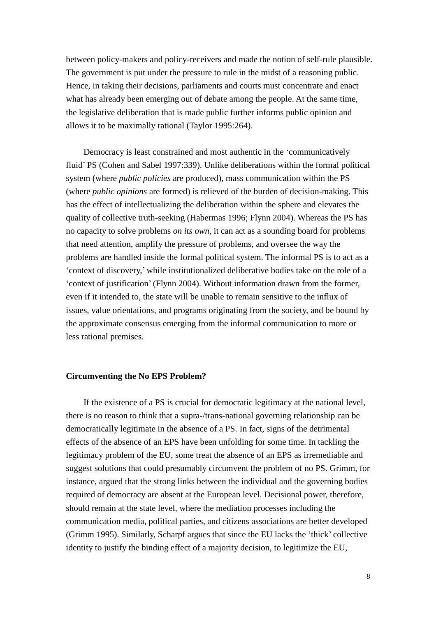between policy-makers and policy-receivers and made the notion of self-rule plausible. The government is put under the pressure to rule in the midst of a reasoning public. Hence, in taking their decisions, parliaments and courts must concentrate and enact what has already been emerging out of debate among the people. At the same time, the legislative deliberation that is made public further informs public opinion and allows it to be maximally rational (Taylor 1995:264).

Democracy is least constrained and most authentic in the 'communicatively fluid'PS (Cohen and Sabel 1997:339). Unlike deliberations within the formal political system (where *public policies* are produced), mass communication within the PS (where *public opinions* are formed) is relieved of the burden of decision-making. This has the effect of intellectualizing the deliberation within the sphere and elevates the quality of collective truth-seeking (Habermas 1996; Flynn 2004). Whereas the PS has no capacity to solve problems *on its own*, it can act as a sounding board for problems that need attention, amplify the pressure of problems, and oversee the way the problems are handled inside the formal political system. The informal PS is to act as a 'context of discovery,'while institutionalized deliberative bodies take on the role of a 'context of justification'(Flynn 2004). Without information drawn from the former, even if it intended to, the state will be unable to remain sensitive to the influx of issues, value orientations, and programs originating from the society, and be bound by the approximate consensus emerging from the informal communication to more or less rational premises.

### **Circumventing the No EPS Problem?**

If the existence of a PS is crucial for democratic legitimacy at the national level, there is no reason to think that a supra-/trans-national governing relationship can be democratically legitimate in the absence of a PS. In fact, signs of the detrimental effects of the absence of an EPS have been unfolding for some time. In tackling the legitimacy problem of the EU, some treat the absence of an EPS as irremediable and suggest solutions that could presumably circumvent the problem of no PS. Grimm, for instance, argued that the strong links between the individual and the governing bodies required of democracy are absent at the European level. Decisional power, therefore, should remain at the state level, where the mediation processes including the communication media, political parties, and citizens associations are better developed (Grimm 1995). Similarly, Scharpf argues that since the EU lacks the 'thick'collective identity to justify the binding effect of a majority decision, to legitimize the EU,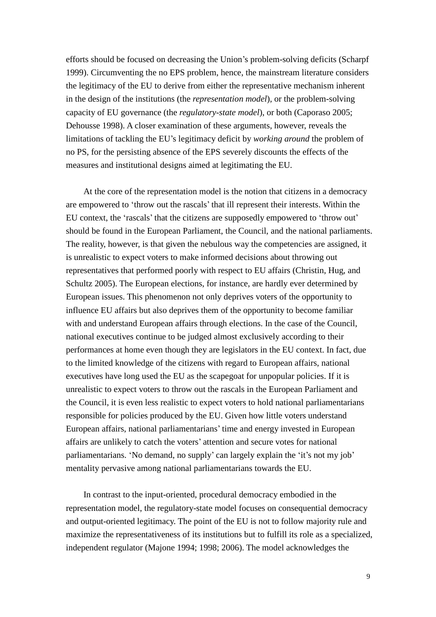efforts should be focused on decreasing the Union's problem-solving deficits (Scharpf 1999). Circumventing the no EPS problem, hence, the mainstream literature considers the legitimacy of the EU to derive from either the representative mechanism inherent in the design of the institutions (the *representation model*), or the problem-solving capacity of EU governance (the *regulatory-state model*), or both (Caporaso 2005; Dehousse 1998). A closer examination of these arguments, however, reveals the limitations of tackling the EU's legitimacy deficit by *working around* the problem of no PS, for the persisting absence of the EPS severely discounts the effects of the measures and institutional designs aimed at legitimating the EU.

At the core of the representation model is the notion that citizens in a democracy are empowered to 'throw out the rascals'that ill represent their interests. Within the EU context, the 'rascals'that the citizens are supposedly empowered to 'throw out' should be found in the European Parliament, the Council, and the national parliaments. The reality, however, is that given the nebulous way the competencies are assigned, it is unrealistic to expect voters to make informed decisions about throwing out representatives that performed poorly with respect to EU affairs (Christin, Hug, and Schultz 2005). The European elections, for instance, are hardly ever determined by European issues. This phenomenon not only deprives voters of the opportunity to influence EU affairs but also deprives them of the opportunity to become familiar with and understand European affairs through elections. In the case of the Council, national executives continue to be judged almost exclusively according to their performances at home even though they are legislators in the EU context. In fact, due to the limited knowledge of the citizens with regard to European affairs, national executives have long used the EU as the scapegoat for unpopular policies. If it is unrealistic to expect voters to throw out the rascals in the European Parliament and the Council, it is even less realistic to expect voters to hold national parliamentarians responsible for policies produced by the EU. Given how little voters understand European affairs, national parliamentarians'time and energy invested in European affairs are unlikely to catch the voters'attention and secure votes for national parliamentarians. 'No demand, no supply'can largely explain the 'it's not my job' mentality pervasive among national parliamentarians towards the EU.

In contrast to the input-oriented, procedural democracy embodied in the representation model, the regulatory-state model focuses on consequential democracy and output-oriented legitimacy. The point of the EU is not to follow majority rule and maximize the representativeness of its institutions but to fulfill its role as a specialized, independent regulator (Majone 1994; 1998; 2006). The model acknowledges the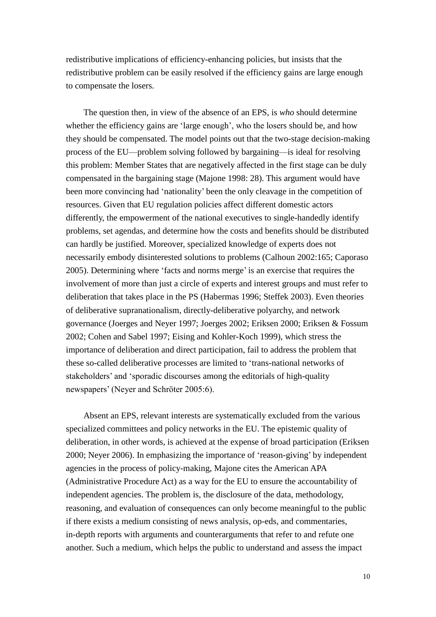redistributive implications of efficiency-enhancing policies, but insists that the redistributive problem can be easily resolved if the efficiency gains are large enough to compensate the losers.

The question then, in view of the absence of an EPS, is *who* should determine whether the efficiency gains are 'large enough', who the losers should be, and how they should be compensated. The model points out that the two-stage decision-making process of the EU—problem solving followed by bargaining—is ideal for resolving this problem: Member States that are negatively affected in the first stage can be duly compensated in the bargaining stage (Majone 1998: 28). This argument would have been more convincing had 'nationality'been the only cleavage in the competition of resources. Given that EU regulation policies affect different domestic actors differently, the empowerment of the national executives to single-handedly identify problems, set agendas, and determine how the costs and benefits should be distributed can hardly be justified. Moreover, specialized knowledge of experts does not necessarily embody disinterested solutions to problems (Calhoun 2002:165; Caporaso 2005). Determining where 'facts and norms merge'is an exercise that requires the involvement of more than just a circle of experts and interest groups and must refer to deliberation that takes place in the PS (Habermas 1996; Steffek 2003). Even theories of deliberative supranationalism, directly-deliberative polyarchy, and network governance (Joerges and Neyer 1997; Joerges 2002; Eriksen 2000; Eriksen & Fossum 2002; Cohen and Sabel 1997; Eising and Kohler-Koch 1999), which stress the importance of deliberation and direct participation, fail to address the problem that these so-called deliberative processes are limited to 'trans-national networks of stakeholders' and 'sporadic discourses among the editorials of high-quality newspapers' (Neyer and Schröter 2005:6).

Absent an EPS, relevant interests are systematically excluded from the various specialized committees and policy networks in the EU. The epistemic quality of deliberation, in other words, is achieved at the expense of broad participation (Eriksen 2000; Neyer 2006). In emphasizing the importance of 'reason-giving'by independent agencies in the process of policy-making, Majone cites the American APA (Administrative Procedure Act) as a way for the EU to ensure the accountability of independent agencies. The problem is, the disclosure of the data, methodology, reasoning, and evaluation of consequences can only become meaningful to the public if there exists a medium consisting of news analysis, op-eds, and commentaries, in-depth reports with arguments and counterarguments that refer to and refute one another. Such a medium, which helps the public to understand and assess the impact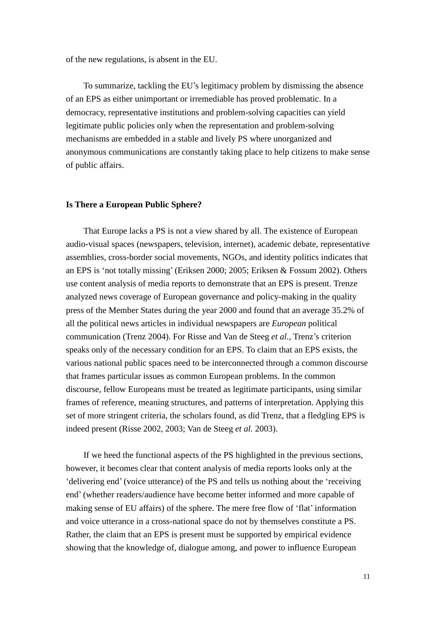of the new regulations, is absent in the EU.

To summarize, tackling the EU's legitimacy problem by dismissing the absence of an EPS as either unimportant or irremediable has proved problematic. In a democracy, representative institutions and problem-solving capacities can yield legitimate public policies only when the representation and problem-solving mechanisms are embedded in a stable and lively PS where unorganized and anonymous communications are constantly taking place to help citizens to make sense of public affairs.

#### **Is There a European Public Sphere?**

That Europe lacks a PS is not a view shared by all. The existence of European audio-visual spaces (newspapers, television, internet), academic debate, representative assemblies, cross-border social movements, NGOs, and identity politics indicates that an EPS is 'not totally missing'(Eriksen 2000; 2005; Eriksen & Fossum 2002). Others use content analysis of media reports to demonstrate that an EPS is present. Trenze analyzed news coverage of European governance and policy-making in the quality press of the Member States during the year 2000 and found that an average 35.2% of all the political news articles in individual newspapers are *European* political communication (Trenz 2004). For Risse and Van de Steeg *et al.*, Trenz's criterion speaks only of the necessary condition for an EPS. To claim that an EPS exists, the various national public spaces need to be interconnected through a common discourse that frames particular issues as common European problems. In the common discourse, fellow Europeans must be treated as legitimate participants, using similar frames of reference, meaning structures, and patterns of interpretation. Applying this set of more stringent criteria, the scholars found, as did Trenz, that a fledgling EPS is indeed present (Risse 2002, 2003; Van de Steeg *et al.* 2003).

If we heed the functional aspects of the PS highlighted in the previous sections, however, it becomes clear that content analysis of media reports looks only at the 'delivering end'(voice utterance) of the PS and tells us nothing about the 'receiving end'(whether readers/audience have become better informed and more capable of making sense of EU affairs) of the sphere. The mere free flow of 'flat'information and voice utterance in a cross-national space do not by themselves constitute a PS. Rather, the claim that an EPS is present must be supported by empirical evidence showing that the knowledge of, dialogue among, and power to influence European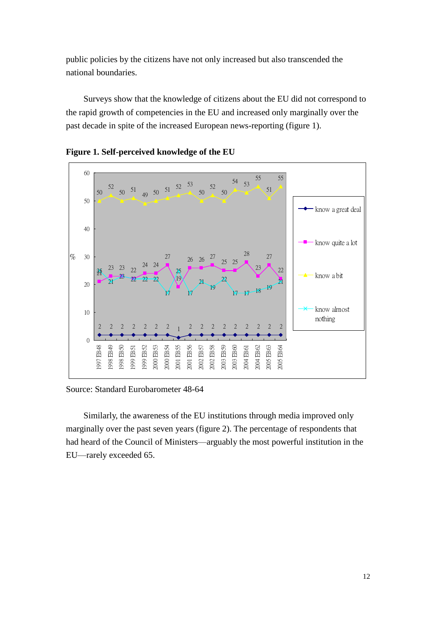public policies by the citizens have not only increased but also transcended the national boundaries.

Surveys show that the knowledge of citizens about the EU did not correspond to the rapid growth of competencies in the EU and increased only marginally over the past decade in spite of the increased European news-reporting (figure 1).



**Figure 1. Self-perceived knowledge of the EU**

Source: Standard Eurobarometer 48-64

Similarly, the awareness of the EU institutions through media improved only marginally over the past seven years (figure 2). The percentage of respondents that had heard of the Council of Ministers—arguably the most powerful institution in the EU—rarely exceeded 65.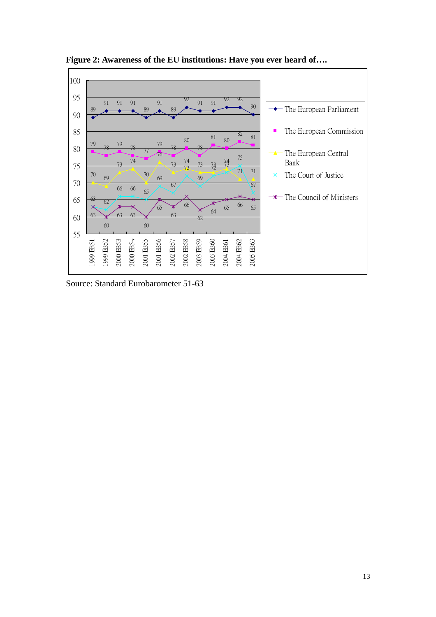

**Figure 2: Awareness of the EU institutions: Have you ever heard of….**

Source: Standard Eurobarometer 51-63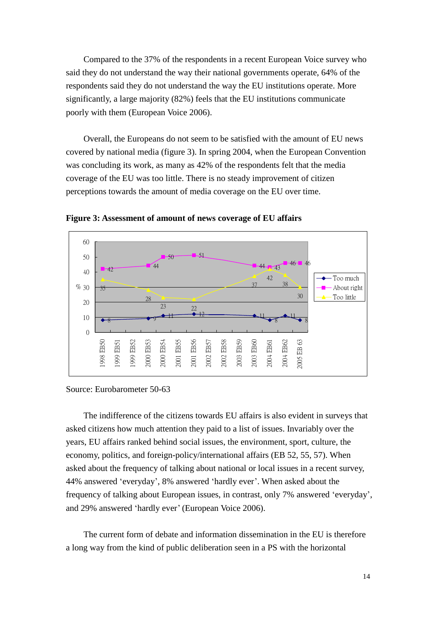Compared to the 37% of the respondents in a recent European Voice survey who said they do not understand the way their national governments operate, 64% of the respondents said they do not understand the way the EU institutions operate. More significantly, a large majority (82%) feels that the EU institutions communicate poorly with them (European Voice 2006).

Overall, the Europeans do not seem to be satisfied with the amount of EU news covered by national media (figure 3). In spring 2004, when the European Convention was concluding its work, as many as 42% of the respondents felt that the media coverage of the EU was too little. There is no steady improvement of citizen perceptions towards the amount of media coverage on the EU over time.



**Figure 3: Assessment of amount of news coverage of EU affairs**

The indifference of the citizens towards EU affairs is also evident in surveys that asked citizens how much attention they paid to a list of issues. Invariably over the years, EU affairs ranked behind social issues, the environment, sport, culture, the economy, politics, and foreign-policy/international affairs (EB 52, 55, 57). When asked about the frequency of talking about national or local issues in a recent survey, 44% answered 'everyday', 8% answered 'hardly ever'. When asked about the frequency of talking about European issues, in contrast, only 7% answered 'everyday', and 29% answered 'hardly ever'(European Voice 2006).

The current form of debate and information dissemination in the EU is therefore a long way from the kind of public deliberation seen in a PS with the horizontal

Source: Eurobarometer 50-63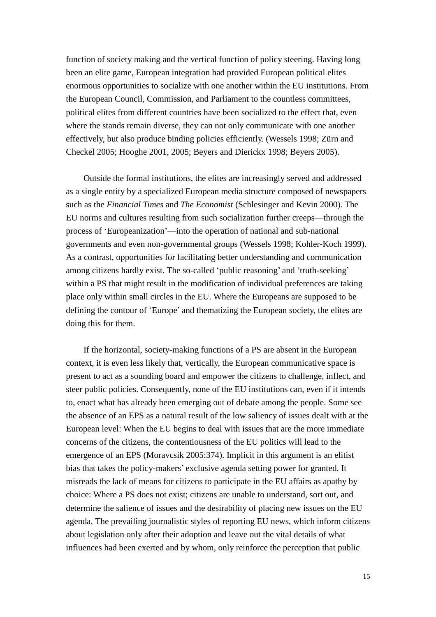function of society making and the vertical function of policy steering. Having long been an elite game, European integration had provided European political elites enormous opportunities to socialize with one another within the EU institutions. From the European Council, Commission, and Parliament to the countless committees, political elites from different countries have been socialized to the effect that, even where the stands remain diverse, they can not only communicate with one another effectively, but also produce binding policies efficiently. (Wessels 1998; Zürn and Checkel 2005; Hooghe 2001, 2005; Beyers and Dierickx 1998; Beyers 2005).

Outside the formal institutions, the elites are increasingly served and addressed as a single entity by a specialized European media structure composed of newspapers such as the *Financial Times* and *The Economist* (Schlesinger and Kevin 2000). The EU norms and cultures resulting from such socialization further creeps—through the process of 'Europeanization'—into the operation of national and sub-national governments and even non-governmental groups (Wessels 1998; Kohler-Koch 1999). As a contrast, opportunities for facilitating better understanding and communication among citizens hardly exist. The so-called 'public reasoning'and 'truth-seeking' within a PS that might result in the modification of individual preferences are taking place only within small circles in the EU. Where the Europeans are supposed to be defining the contour of 'Europe'and thematizing the European society, the elites are doing this for them.

If the horizontal, society-making functions of a PS are absent in the European context, it is even less likely that, vertically, the European communicative space is present to act as a sounding board and empower the citizens to challenge, inflect, and steer public policies. Consequently, none of the EU institutions can, even if it intends to, enact what has already been emerging out of debate among the people. Some see the absence of an EPS as a natural result of the low saliency of issues dealt with at the European level: When the EU begins to deal with issues that are the more immediate concerns of the citizens, the contentiousness of the EU politics will lead to the emergence of an EPS (Moravcsik 2005:374). Implicit in this argument is an elitist bias that takes the policy-makers'exclusive agenda setting power for granted. It misreads the lack of means for citizens to participate in the EU affairs as apathy by choice: Where a PS does not exist; citizens are unable to understand, sort out, and determine the salience of issues and the desirability of placing new issues on the EU agenda. The prevailing journalistic styles of reporting EU news, which inform citizens about legislation only after their adoption and leave out the vital details of what influences had been exerted and by whom, only reinforce the perception that public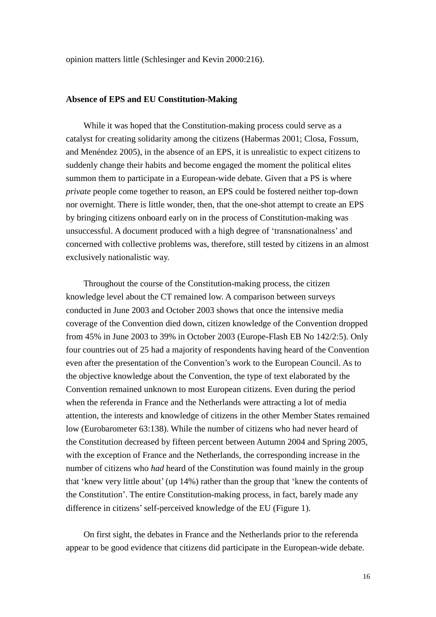opinion matters little (Schlesinger and Kevin 2000:216).

#### **Absence of EPS and EU Constitution-Making**

While it was hoped that the Constitution-making process could serve as a catalyst for creating solidarity among the citizens (Habermas 2001; Closa, Fossum, and Menéndez 2005), in the absence of an EPS, it is unrealistic to expect citizens to suddenly change their habits and become engaged the moment the political elites summon them to participate in a European-wide debate. Given that a PS is where *private* people come together to reason, an EPS could be fostered neither top-down nor overnight. There is little wonder, then, that the one-shot attempt to create an EPS by bringing citizens onboard early on in the process of Constitution-making was unsuccessful. A document produced with a high degree of 'transnationalness'and concerned with collective problems was, therefore, still tested by citizens in an almost exclusively nationalistic way.

Throughout the course of the Constitution-making process, the citizen knowledge level about the CT remained low. A comparison between surveys conducted in June 2003 and October 2003 shows that once the intensive media coverage of the Convention died down, citizen knowledge of the Convention dropped from 45% in June 2003 to 39% in October 2003 (Europe-Flash EB No 142/2:5). Only four countries out of 25 had a majority of respondents having heard of the Convention even after the presentation of the Convention's work to the European Council. As to the objective knowledge about the Convention, the type of text elaborated by the Convention remained unknown to most European citizens. Even during the period when the referenda in France and the Netherlands were attracting a lot of media attention, the interests and knowledge of citizens in the other Member States remained low (Eurobarometer 63:138). While the number of citizens who had never heard of the Constitution decreased by fifteen percent between Autumn 2004 and Spring 2005, with the exception of France and the Netherlands, the corresponding increase in the number of citizens who *had* heard of the Constitution was found mainly in the group that 'knew very little about'(up 14%) rather than the group that 'knew the contents of the Constitution'. The entire Constitution-making process, in fact, barely made any difference in citizens'self-perceived knowledge of the EU (Figure 1).

On first sight, the debates in France and the Netherlands prior to the referenda appear to be good evidence that citizens did participate in the European-wide debate.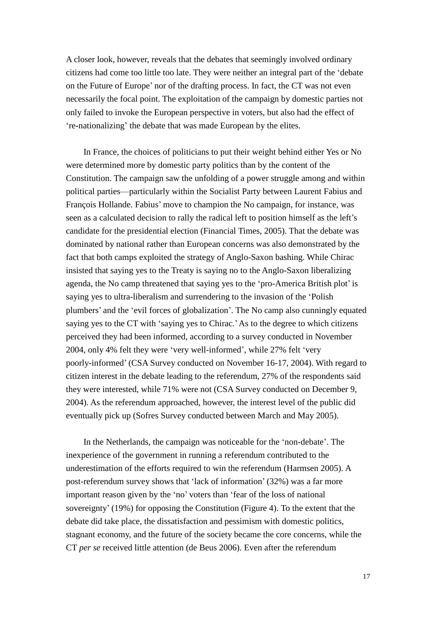A closer look, however, reveals that the debates that seemingly involved ordinary citizens had come too little too late. They were neither an integral part of the 'debate on the Future of Europe'nor of the drafting process. In fact, the CT was not even necessarily the focal point. The exploitation of the campaign by domestic parties not only failed to invoke the European perspective in voters, but also had the effect of 're-nationalizing'the debate that was made European by the elites.

In France, the choices of politicians to put their weight behind either Yes or No were determined more by domestic party politics than by the content of the Constitution. The campaign saw the unfolding of a power struggle among and within political parties—particularly within the Socialist Party between Laurent Fabius and François Hollande. Fabius'move to champion the No campaign, for instance, was seen as a calculated decision to rally the radical left to position himself as the left's candidate for the presidential election (Financial Times, 2005). That the debate was dominated by national rather than European concerns was also demonstrated by the fact that both camps exploited the strategy of Anglo-Saxon bashing. While Chirac insisted that saying yes to the Treaty is saying no to the Anglo-Saxon liberalizing agenda, the No camp threatened that saying yes to the 'pro-America British plot'is saying yes to ultra-liberalism and surrendering to the invasion of the 'Polish plumbers'and the 'evil forces of globalization'. The No camp also cunningly equated saying yes to the CT with 'saying yes to Chirac.'As to the degree to which citizens perceived they had been informed, according to a survey conducted in November 2004, only 4% felt they were 'very well-informed', while 27% felt 'very poorly-informed'(CSA Survey conducted on November 16-17, 2004). With regard to citizen interest in the debate leading to the referendum, 27% of the respondents said they were interested, while 71% were not (CSA Survey conducted on December 9, 2004). As the referendum approached, however, the interest level of the public did eventually pick up (Sofres Survey conducted between March and May 2005).

In the Netherlands, the campaign was noticeable for the 'non-debate'. The inexperience of the government in running a referendum contributed to the underestimation of the efforts required to win the referendum (Harmsen 2005). A post-referendum survey shows that 'lack of information'(32%) was a far more important reason given by the 'no'voters than 'fear of the loss of national sovereignty' (19%) for opposing the Constitution (Figure 4). To the extent that the debate did take place, the dissatisfaction and pessimism with domestic politics, stagnant economy, and the future of the society became the core concerns, while the CT *per se* received little attention (de Beus 2006). Even after the referendum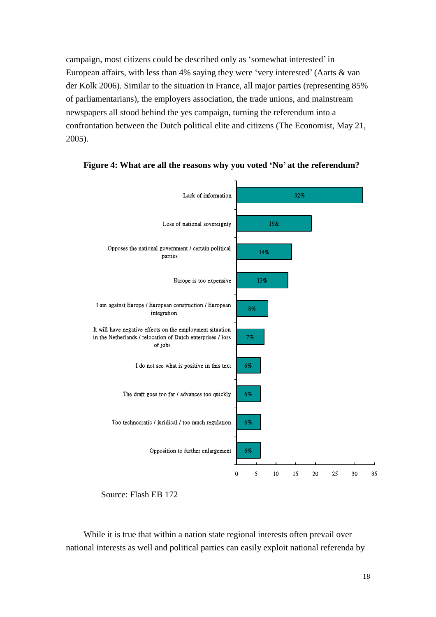campaign, most citizens could be described only as 'somewhat interested'in European affairs, with less than 4% saying they were 'very interested'(Aarts & van der Kolk 2006). Similar to the situation in France, all major parties (representing 85% of parliamentarians), the employers association, the trade unions, and mainstream newspapers all stood behind the yes campaign, turning the referendum into a confrontation between the Dutch political elite and citizens (The Economist, May 21, 2005).





Source: Flash EB 172

While it is true that within a nation state regional interests often prevail over national interests as well and political parties can easily exploit national referenda by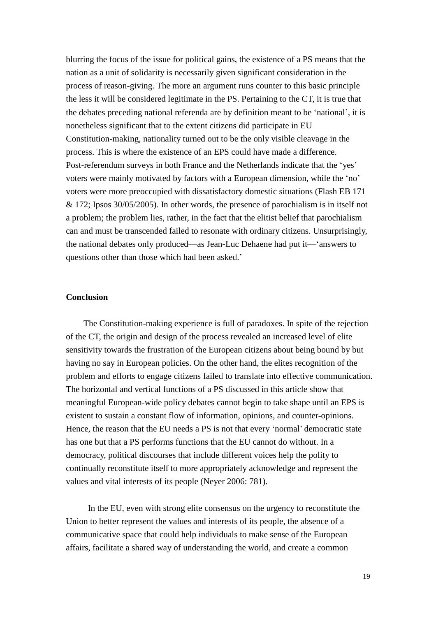blurring the focus of the issue for political gains, the existence of a PS means that the nation as a unit of solidarity is necessarily given significant consideration in the process of reason-giving. The more an argument runs counter to this basic principle the less it will be considered legitimate in the PS. Pertaining to the CT, it is true that the debates preceding national referenda are by definition meant to be 'national', it is nonetheless significant that to the extent citizens did participate in EU Constitution-making, nationality turned out to be the only visible cleavage in the process. This is where the existence of an EPS could have made a difference. Post-referendum surveys in both France and the Netherlands indicate that the 'yes' voters were mainly motivated by factors with a European dimension, while the 'no' voters were more preoccupied with dissatisfactory domestic situations (Flash EB 171 & 172; Ipsos 30/05/2005). In other words, the presence of parochialism is in itself not a problem; the problem lies, rather, in the fact that the elitist belief that parochialism can and must be transcended failed to resonate with ordinary citizens. Unsurprisingly, the national debates only produced—as Jean-Luc Dehaene had put it—'answers to questions other than those which had been asked.'

## **Conclusion**

The Constitution-making experience is full of paradoxes. In spite of the rejection of the CT, the origin and design of the process revealed an increased level of elite sensitivity towards the frustration of the European citizens about being bound by but having no say in European policies. On the other hand, the elites recognition of the problem and efforts to engage citizens failed to translate into effective communication. The horizontal and vertical functions of a PS discussed in this article show that meaningful European-wide policy debates cannot begin to take shape until an EPS is existent to sustain a constant flow of information, opinions, and counter-opinions. Hence, the reason that the EU needs a PS is not that every 'normal'democratic state has one but that a PS performs functions that the EU cannot do without. In a democracy, political discourses that include different voices help the polity to continually reconstitute itself to more appropriately acknowledge and represent the values and vital interests of its people (Neyer 2006: 781).

In the EU, even with strong elite consensus on the urgency to reconstitute the Union to better represent the values and interests of its people, the absence of a communicative space that could help individuals to make sense of the European affairs, facilitate a shared way of understanding the world, and create a common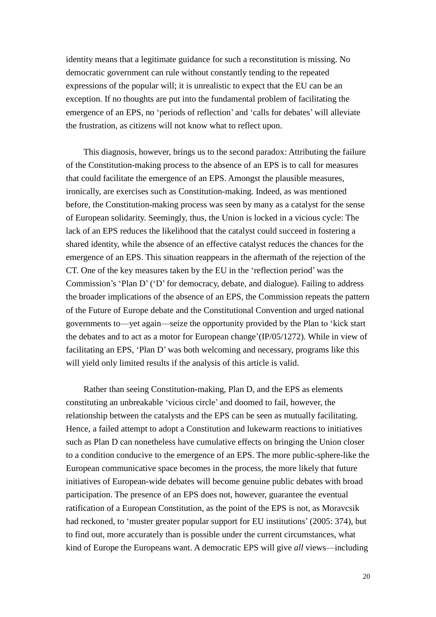identity means that a legitimate guidance for such a reconstitution is missing. No democratic government can rule without constantly tending to the repeated expressions of the popular will; it is unrealistic to expect that the EU can be an exception. If no thoughts are put into the fundamental problem of facilitating the emergence of an EPS, no 'periods of reflection'and 'calls for debates'will alleviate the frustration, as citizens will not know what to reflect upon.

This diagnosis, however, brings us to the second paradox: Attributing the failure of the Constitution-making process to the absence of an EPS is to call for measures that could facilitate the emergence of an EPS. Amongst the plausible measures, ironically, are exercises such as Constitution-making. Indeed, as was mentioned before, the Constitution-making process was seen by many as a catalyst for the sense of European solidarity. Seemingly, thus, the Union is locked in a vicious cycle: The lack of an EPS reduces the likelihood that the catalyst could succeed in fostering a shared identity, while the absence of an effective catalyst reduces the chances for the emergence of an EPS. This situation reappears in the aftermath of the rejection of the CT. One of the key measures taken by the EU in the 'reflection period'was the Commission's 'Plan D'('D'for democracy, debate, and dialogue). Failing to address the broader implications of the absence of an EPS, the Commission repeats the pattern of the Future of Europe debate and the Constitutional Convention and urged national governments to—yet again—seize the opportunity provided by the Plan to'kick start the debates and to act as a motor for European change'(IP/05/1272). While in view of facilitating an EPS, 'Plan D'was both welcoming and necessary, programs like this will yield only limited results if the analysis of this article is valid.

Rather than seeing Constitution-making, Plan D, and the EPS as elements constituting an unbreakable 'vicious circle'and doomed to fail, however, the relationship between the catalysts and the EPS can be seen as mutually facilitating. Hence, a failed attempt to adopt a Constitution and lukewarm reactions to initiatives such as Plan D can nonetheless have cumulative effects on bringing the Union closer to a condition conducive to the emergence of an EPS. The more public-sphere-like the European communicative space becomes in the process, the more likely that future initiatives of European-wide debates will become genuine public debates with broad participation. The presence of an EPS does not, however, guarantee the eventual ratification of a European Constitution, as the point of the EPS is not, as Moravcsik had reckoned, to 'muster greater popular support for EU institutions'(2005: 374), but to find out, more accurately than is possible under the current circumstances, what kind of Europe the Europeans want. A democratic EPS will give *all* views—including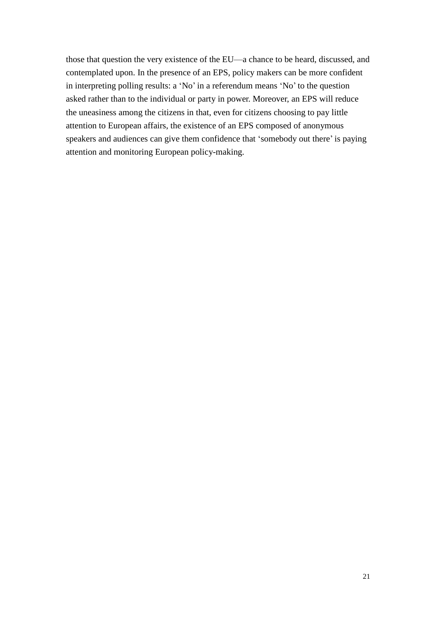those that question the very existence of the EU—a chance to be heard, discussed, and contemplated upon. In the presence of an EPS, policy makers can be more confident in interpreting polling results: a 'No'in a referendum means 'No'to the question asked rather than to the individual or party in power. Moreover, an EPS will reduce the uneasiness among the citizens in that, even for citizens choosing to pay little attention to European affairs, the existence of an EPS composed of anonymous speakers and audiences can give them confidence that 'somebody out there'is paying attention and monitoring European policy-making.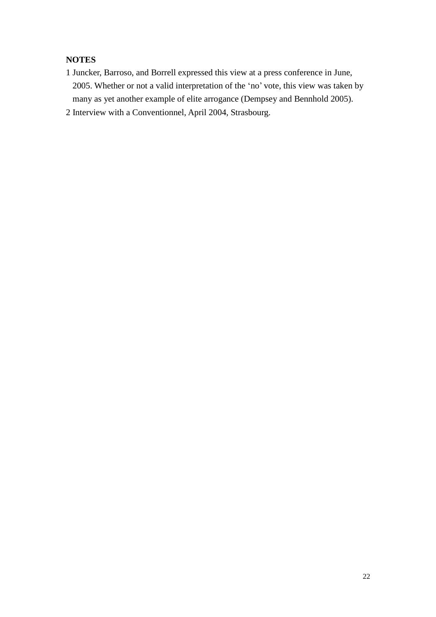## **NOTES**

- 1 Juncker, Barroso, and Borrell expressed this view at a press conference in June, 2005. Whether or not a valid interpretation of the 'no'vote, this view was taken by many as yet another example of elite arrogance (Dempsey and Bennhold 2005).
- 2 Interview with a Conventionnel, April 2004, Strasbourg.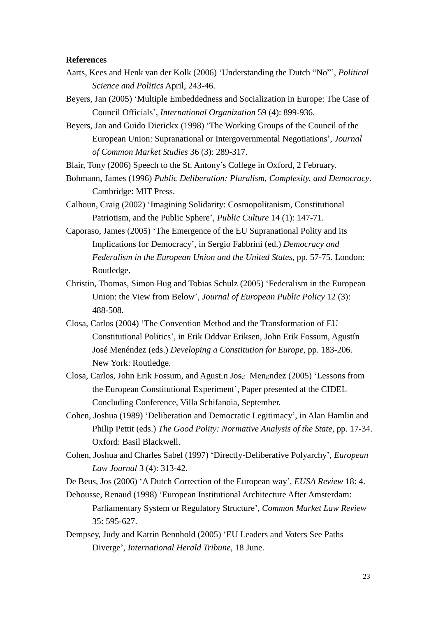#### **References**

- Aarts, Kees and Henk van der Kolk (2006) 'Understanding the Dutch "No"', *Political Science and Politics* April, 243-46.
- Beyers, Jan (2005) 'Multiple Embeddedness and Socialization in Europe: The Case of Council Officials', *International Organization* 59 (4): 899-936.
- Beyers, Jan and Guido Dierickx (1998) 'The Working Groups of the Council of the European Union: Supranational or Intergovernmental Negotiations', *Journal of Common Market Studies* 36 (3): 289-317.
- Blair, Tony (2006) Speech to the St. Antony's College in Oxford, 2 February.
- Bohmann, James (1996) *Public Deliberation: Pluralism, Complexity, and Democracy*. Cambridge: MIT Press.
- Calhoun, Craig (2002) 'Imagining Solidarity: Cosmopolitanism, Constitutional Patriotism, and the Public Sphere', *Public Culture* 14 (1): 147-71.
- Caporaso, James (2005) 'The Emergence of the EU Supranational Polity and its Implications for Democracy', in Sergio Fabbrini (ed.) *Democracy and Federalism in the European Union and the United States*, pp. 57-75. London: Routledge.
- Christin, Thomas, Simon Hug and Tobias Schulz (2005) 'Federalism in the European Union: the View from Below', *Journal of European Public Policy* 12 (3): 488-508.
- Closa, Carlos (2004) 'The Convention Method and the Transformation of EU Constitutional Politics', in Erik Oddvar Eriksen, John Erik Fossum, Agustín José Menéndez (eds.) *Developing a Constitution for Europe*, pp. 183-206. New York: Routledge.
- Closa, Carlos, John Erik Fossum, and Agustin Jose Menendez (2005) 'Lessons from the European Constitutional Experiment', Paper presented at the CIDEL Concluding Conference, Villa Schifanoia, September.
- Cohen, Joshua (1989) 'Deliberation and Democratic Legitimacy', in Alan Hamlin and Philip Pettit (eds.) *The Good Polity: Normative Analysis of the State*, pp. 17-34. Oxford: Basil Blackwell.
- Cohen, Joshua and Charles Sabel (1997) 'Directly-Deliberative Polyarchy', *European Law Journal* 3 (4): 313-42.

De Beus, Jos (2006) 'A Dutch Correction of the European way', *EUSA Review* 18: 4.

- Dehousse, Renaud (1998) 'European Institutional Architecture After Amsterdam: Parliamentary System or Regulatory Structure', *Common Market Law Review* 35: 595-627.
- Dempsey, Judy and Katrin Bennhold (2005) 'EU Leaders and Voters See Paths Diverge', *International Herald Tribune*, 18 June.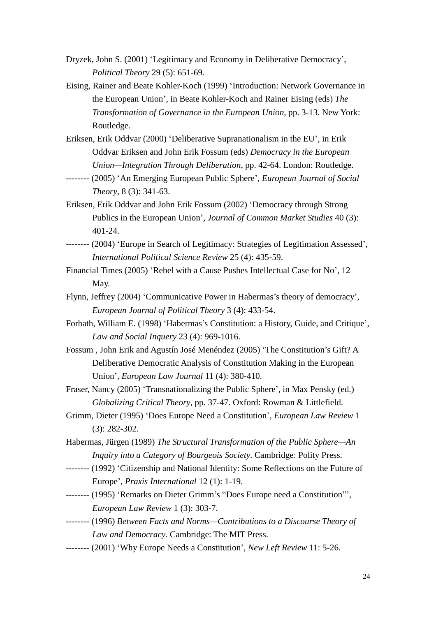- Dryzek, John S. (2001) 'Legitimacy and Economy in Deliberative Democracy', *Political Theory* 29 (5): 651-69.
- Eising, Rainer and Beate Kohler-Koch (1999) 'Introduction: Network Governance in the European Union', in Beate Kohler-Koch and Rainer Eising (eds) *The Transformation of Governance in the European Union*, pp. 3-13. New York: Routledge.
- Eriksen, Erik Oddvar (2000) 'Deliberative Supranationalism in the EU', in Erik Oddvar Eriksen and John Erik Fossum (eds) *Democracy in the European Union—Integration Through Deliberation*, pp. 42-64. London: Routledge.
- -------- (2005) 'An Emerging European Public Sphere', *European Journal of Social Theory*, 8 (3): 341-63.
- Eriksen, Erik Oddvar and John Erik Fossum (2002) 'Democracy through Strong Publics in the European Union', *Journal of Common Market Studies* 40 (3): 401-24.
- -------- (2004) 'Europe in Search of Legitimacy: Strategies of Legitimation Assessed', *International Political Science Review* 25 (4): 435-59.
- Financial Times (2005) 'Rebel with a Cause Pushes Intellectual Case for No', 12 May.
- Flynn, Jeffrey (2004) 'Communicative Power in Habermas's theory of democracy', *European Journal of Political Theory* 3 (4): 433-54.
- Forbath, William E. (1998) 'Habermas's Constitution: a History, Guide, and Critique', *Law and Social Inquery* 23 (4): 969-1016.
- Fossum , John Erik and Agustín José Menéndez (2005) 'The Constitution's Gift? A Deliberative Democratic Analysis of Constitution Making in the European Union', *European Law Journal* 11 (4): 380-410.
- Fraser, Nancy (2005) 'Transnationalizing the Public Sphere', in Max Pensky (ed.) *Globalizing Critical Theory*, pp. 37-47. Oxford: Rowman & Littlefield.
- Grimm, Dieter (1995) 'Does Europe Need a Constitution', *European Law Review* 1 (3): 282-302.
- Habermas, Jürgen (1989) *The Structural Transformation of the Public Sphere—An Inquiry into a Category of Bourgeois Society*. Cambridge: Polity Press.
- -------- (1992) 'Citizenship and National Identity: Some Reflections on the Future of Europe', *Praxis International* 12 (1): 1-19.
- -------- (1995) 'Remarks on Dieter Grimm's "Does Europe need a Constitution"', *European Law Review* 1 (3): 303-7.
- -------- (1996) *Between Facts and Norms—Contributions to a Discourse Theory of Law and Democracy*. Cambridge: The MIT Press.
- -------- (2001) 'Why Europe Needs a Constitution', *New Left Review* 11: 5-26.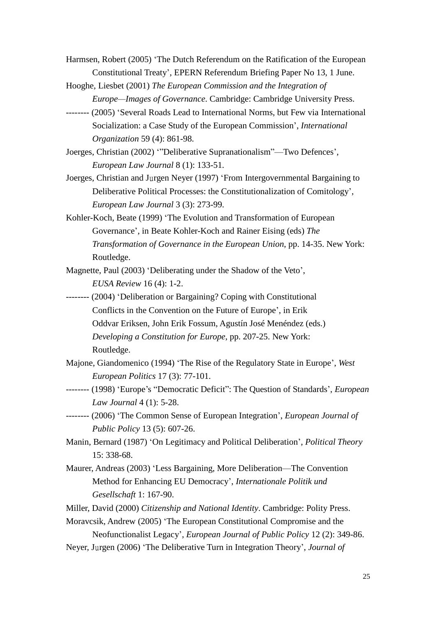- Harmsen, Robert (2005) 'The Dutch Referendum on the Ratification of the European Constitutional Treaty', EPERN Referendum Briefing Paper No 13, 1 June.
- Hooghe, Liesbet (2001) *The European Commission and the Integration of Europe—Images of Governance*. Cambridge: Cambridge University Press.
- -------- (2005) 'Several Roads Lead to International Norms, but Few via International Socialization: a Case Study of the European Commission', *International Organization* 59 (4): 861-98.
- Joerges, Christian (2002) '"Deliberative Supranationalism"—Two Defences', *European Law Journal* 8 (1): 133-51.
- Joerges, Christian and Jurgen Neyer (1997) 'From Intergovernmental Bargaining to Deliberative Political Processes: the Constitutionalization of Comitology', *European Law Journal* 3 (3): 273-99.
- Kohler-Koch, Beate (1999) 'The Evolution and Transformation of European Governance', in Beate Kohler-Koch and Rainer Eising (eds) *The Transformation of Governance in the European Union*, pp. 14-35. New York: Routledge.
- Magnette, Paul (2003) 'Deliberating under the Shadow of the Veto', *EUSA Review* 16 (4): 1-2.
- -------- (2004) 'Deliberation or Bargaining? Coping with Constitutional Conflicts in the Convention on the Future of Europe', in Erik Oddvar Eriksen, John Erik Fossum, Agustín José Menéndez (eds.) *Developing a Constitution for Europe*, pp. 207-25. New York: Routledge.
- Majone, Giandomenico (1994) 'The Rise of the Regulatory State in Europe', *West European Politics* 17 (3): 77-101.
- -------- (1998) 'Europe's "Democratic Deficit": The Question of Standards', *European Law Journal* 4 (1): 5-28.
- -------- (2006) 'The Common Sense of European Integration', *European Journal of Public Policy* 13 (5): 607-26.
- Manin, Bernard (1987) 'On Legitimacy and Political Deliberation', *Political Theory* 15: 338-68.
- Maurer, Andreas (2003) 'Less Bargaining, More Deliberation—The Convention Method for Enhancing EU Democracy', *Internationale Politik und Gesellschaft* 1: 167-90.
- Miller, David (2000) *Citizenship and National Identity*. Cambridge: Polity Press.
- Moravcsik, Andrew (2005) 'The European Constitutional Compromise and the Neofunctionalist Legacy', *European Journal of Public Policy* 12 (2): 349-86.
- Neyer, Jurgen (2006) 'The Deliberative Turn in Integration Theory', *Journal of*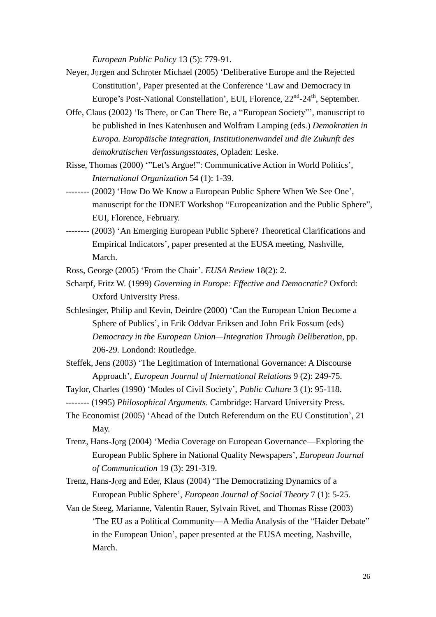*European Public Policy* 13 (5): 779-91.

- Neyer, Jurgen and Schroter Michael (2005) 'Deliberative Europe and the Rejected Constitution', Paper presented at the Conference 'Law and Democracy in Europe's Post-National Constellation', EUI, Florence, 22<sup>nd</sup>-24<sup>th</sup>, September.
- Offe, Claus (2002) 'Is There, or Can There Be, a "European Society"', manuscript to be published in Ines Katenhusen and Wolfram Lamping (eds.) *Demokratien in Europa. Europäische Integration, Institutionenwandel und die Zukunft des demokratischen Verfassungsstaates*, Opladen: Leske.
- Risse, Thomas (2000) '"Let's Argue!": Communicative Action in World Politics', *International Organization* 54 (1): 1-39.
- -------- (2002) 'How Do We Know a European Public Sphere When We See One', manuscript for the IDNET Workshop "Europeanization and the Public Sphere", EUI, Florence, February.
- -------- (2003) 'An Emerging European Public Sphere? Theoretical Clarifications and Empirical Indicators', paper presented at the EUSA meeting, Nashville, March.

Ross, George (2005) 'From the Chair'. *EUSA Review* 18(2): 2.

- Scharpf, Fritz W. (1999) *Governing in Europe: Effective and Democratic?* Oxford: Oxford University Press.
- Schlesinger, Philip and Kevin, Deirdre (2000) 'Can the European Union Become a Sphere of Publics', in Erik Oddvar Eriksen and John Erik Fossum (eds) *Democracy in the European Union—Integration Through Deliberation*, pp. 206-29. Londond: Routledge.
- Steffek, Jens (2003) 'The Legitimation of International Governance: A Discourse Approach', *European Journal of International Relations* 9 (2): 249-75.
- Taylor, Charles (1990) 'Modes of Civil Society', *Public Culture* 3 (1): 95-118.
- -------- (1995) *Philosophical Arguments*. Cambridge: Harvard University Press.
- The Economist (2005) 'Ahead of the Dutch Referendum on the EU Constitution', 21 May.
- Trenz, Hans-Jorg (2004) 'Media Coverage on European Governance—Exploring the European Public Sphere in National Quality Newspapers', *European Journal of Communication* 19 (3): 291-319.
- Trenz, Hans-Jorg and Eder, Klaus (2004) 'The Democratizing Dynamics of a European Public Sphere', *European Journal of Social Theory* 7 (1): 5-25.
- Van de Steeg, Marianne, Valentin Rauer, Sylvain Rivet, and Thomas Risse (2003) 'The EU as a Political Community—A Media Analysis of the "Haider Debate" in the European Union', paper presented at the EUSA meeting, Nashville, March.